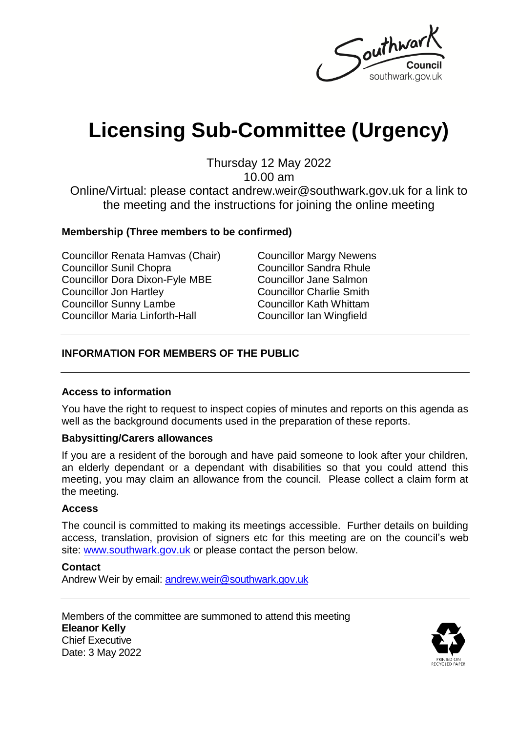Southwar southwark.gov.uk

# **Licensing Sub-Committee (Urgency)**

Thursday 12 May 2022

10.00 am

Online/Virtual: please contact andrew.weir@southwark.gov.uk for a link to the meeting and the instructions for joining the online meeting

#### **Membership (Three members to be confirmed)**

Councillor Renata Hamvas (Chair) Councillor Sunil Chopra Councillor Dora Dixon-Fyle MBE Councillor Jon Hartley Councillor Sunny Lambe Councillor Maria Linforth-Hall

Councillor Margy Newens Councillor Sandra Rhule Councillor Jane Salmon Councillor Charlie Smith Councillor Kath Whittam Councillor Ian Wingfield

#### **INFORMATION FOR MEMBERS OF THE PUBLIC**

#### **Access to information**

You have the right to request to inspect copies of minutes and reports on this agenda as well as the background documents used in the preparation of these reports.

#### **Babysitting/Carers allowances**

If you are a resident of the borough and have paid someone to look after your children, an elderly dependant or a dependant with disabilities so that you could attend this meeting, you may claim an allowance from the council. Please collect a claim form at the meeting.

#### **Access**

The council is committed to making its meetings accessible. Further details on building access, translation, provision of signers etc for this meeting are on the council's web site: [www.southwark.gov.uk](http://www.southwark.gov.uk/Public/Home.aspx) or please contact the person below.

#### **Contact**

Andrew Weir by email: [andrew.weir@southwark.gov.uk](mailto:andrew.weir@southwark.gov.uk)

Members of the committee are summoned to attend this meeting **Eleanor Kelly** Chief Executive Date: 3 May 2022

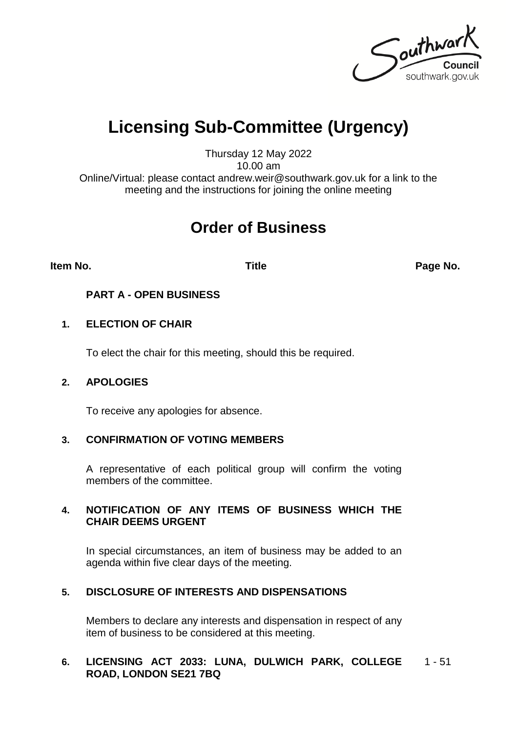Southwark southwark.gov.uk

## **Licensing Sub-Committee (Urgency)**

Thursday 12 May 2022 10.00 am

Online/Virtual: please contact andrew.weir@southwark.gov.uk for a link to the meeting and the instructions for joining the online meeting

### **Order of Business**

**Item No. Title Page No.**

#### **PART A - OPEN BUSINESS**

#### **1. ELECTION OF CHAIR**

To elect the chair for this meeting, should this be required.

#### **2. APOLOGIES**

To receive any apologies for absence.

#### **3. CONFIRMATION OF VOTING MEMBERS**

A representative of each political group will confirm the voting members of the committee.

#### **4. NOTIFICATION OF ANY ITEMS OF BUSINESS WHICH THE CHAIR DEEMS URGENT**

In special circumstances, an item of business may be added to an agenda within five clear days of the meeting.

#### **5. DISCLOSURE OF INTERESTS AND DISPENSATIONS**

Members to declare any interests and dispensation in respect of any item of business to be considered at this meeting.

#### **6. LICENSING ACT 2033: LUNA, DULWICH PARK, COLLEGE**  1 - 51**ROAD, LONDON SE21 7BQ**